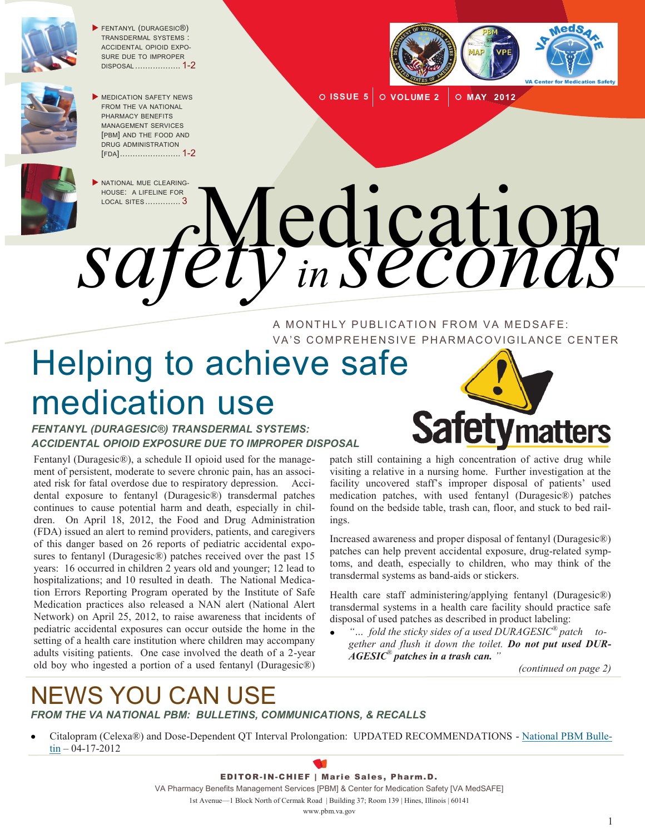<span id="page-0-0"></span>

FENTANYL (DURAGESIC<sup>®</sup>) TRANSDERMAL SYSTEMS : ACCIDENTAL OPIOID EXPO SURE DUE TO IMPROPER [DISPOSAL .................. 1-2](#page-0-0)  j



 MEDICATION SAFETY NEWS FROM THE VA NATIONAL PHARMACY BENEFITS MANAGEMENT SERVICES [PBM] AND THE FOOD AND DRUG ADMINISTRATION [\[FDA\]........................ 1-2](#page-0-0) 



 NATIONAL MUE CLEARING j



**ISSUE 5 | O VOLUME 2 | O MAY 2012** 

HOUSE: A LIFELINE FOR<br>LOCAL SITES .............. 3 Safety in Seconds

> A MONTHLY PUBLICATION FROM VA MEDSAFE: VA'S COMPREHENSIVE PHARMACOVIGILANCE CENTER

# Helping to achieve safe medication use

#### *FENTANYL (DURAGESIC®) TRANSDERMAL SYSTEMS: ACCIDENTAL OPIOID EXPOSURE DUE TO IMPROPER DISPOSAL*

Fentanyl (Duragesic<sup>®</sup>), a schedule II opioid used for the management of persistent, moderate to severe chronic pain, has an associ ated risk for fatal overdose due to respiratory depression. Acci dental exposure to fentanyl (Duragesic®) transdermal patches continues to cause potential harm and death, especially in chil dren. On April 18, 2012, the Food and Drug Administration (FDA) issued an alert to remind providers, patients, and caregivers of this danger based on 26 reports of pediatric accidental expo sures to fentanyl (Duragesic®) patches received over the past 15 years: 16 occurred in children 2 years old and younger; 12 lead to hospitalizations; and 10 resulted in death. The National Medication Errors Reporting Program operated by the Institute of Safe Medication practices also released a NAN alert (National Alert Network) on April 25, 2012, to raise awareness that incidents of pediatric accidental exposures can occur outside the home in the setting of a health care institution where children may accompany adults visiting patients. One case involved the death of a 2-year old boy who ingested a portion of a used fentanyl (Duragesic®) , 1 **.** 1 **.** 

patch still containing a high concentration of active drug while visiting a relative in a nursing home. Further investigation at the facility uncovered staff's improper disposal of patients' used medication patches, with used fentanyl (Duragesic®) patches found on the bedside table, trash can, floor, and stuck to bed rail ings. 1

**Safetymatters** 

 Increased awareness and proper disposal of fentanyl (Duragesic®) patches can help prevent accidental exposure, drug-related symp toms, and death, especially to children, who may think of the transdermal systems as band-aids or stickers. **.** 

Health care staff administering/applying fentanyl (Duragesic®) transdermal systems in a health care facility should practice safe disposal of used patches as described in product labeling:

*"… fold the sticky sides of a used DURAGESIC*® *patch to gether and flush it down the toilet. Do not put used DUR - AGESIC*® *patches in a trash can. "*  **.** 

 *(continued on page 2)* 

## YOU CAN USE

*FROM THE VA NATIONAL PBM: BULLETINS, COMMUNICATIONS, & RECALLS* 

Citalopram (Celexa®) and Dose-Dependent QT Interval Prolongation: UPDATED RECOMMENDATIONS - [National PBM Bulle](http://www.pbm.va.gov/vamedsafe/Citalopram%20and%20Dose-Dependent%20QT%20Interval%20Prolongation_UPDATE_NATIONAL%20PBM%20BULLETIN_041712_FINAL.PDF)  $\frac{\text{tin}}{-04-17-2012}$ j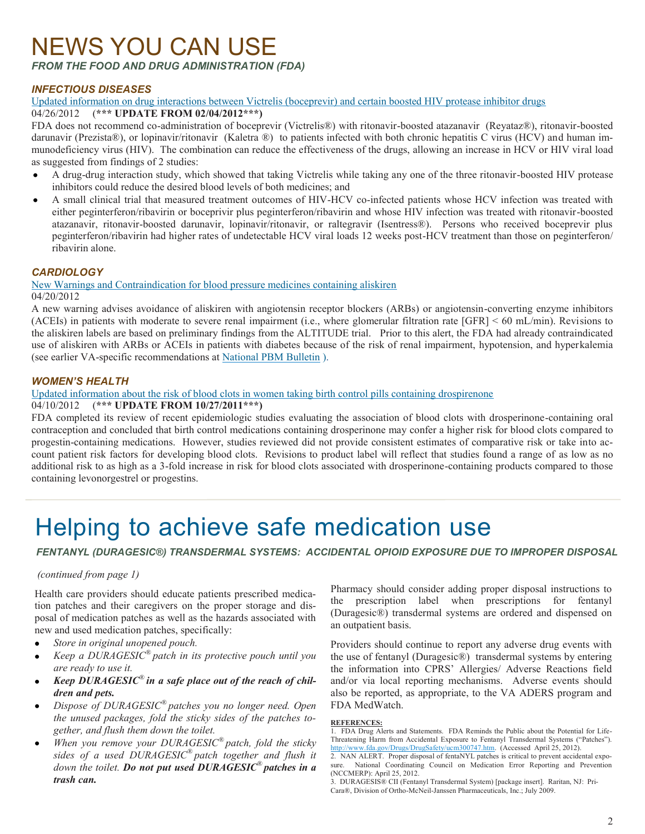### NEWS YOU CAN USE

*FROM THE FOOD AND DRUG ADMINISTRATION (FDA)* 

#### *INFECTIOUS DISEASES*

[Updated information on drug interactions between Victrelis \(boceprevir\) and certain boosted HIV protease inhibitor drugs](http://www.fda.gov/Drugs/DrugSafety/ucm301616.htm) 

#### 04/26/2012 (**\*\*\* UPDATE FROM 02/04/2012\*\*\*)**

FDA does not recommend co-administration of boceprevir (Victrelis®) with ritonavir-boosted atazanavir (Reyataz®), ritonavir-boosted darunavir (Prezista®), or lopinavir/ritonavir (Kaletra ®) to patients infected with both chronic hepatitis C virus (HCV) and human im munodeficiency virus (HIV). The combination can reduce the effectiveness of the drugs, allowing an increase in HCV or HIV viral load as suggested from findings of 2 studies: j

- A drug-drug interaction study, which showed that taking Victrelis while taking any one of the three ritonavir-boosted HIV protease inhibitors could reduce the desired blood levels of both medicines; and
- A small clinical trial that measured treatment outcomes of HIV-HCV co-infected patients whose HCV infection was treated with either peginterferon/ribavirin or boceprivir plus peginterferon/ribavirin and whose HIV infection was treated with ritonavir-boosted atazanavir, ritonavir-boosted darunavir, lopinavir/ritonavir, or raltegravir (Isentress®). Persons who received boceprevir plus peginterferon/ribavirin had higher rates of undetectable HCV viral loads 12 weeks post-HCV treatment than those on peginterferon/ ribavirin alone.

#### *CARDIOLOGY*

#### [New Warnings and Contraindication for blood pressure medicines containing aliskiren](http://www.fda.gov/Drugs/DrugSafety/ucm300889.htm)

04/20/2012

A new warning advises avoidance of aliskiren with angiotensin receptor blockers (ARBs) or angiotensin-converting enzyme inhibitors (ACEIs) in patients with moderate to severe renal impairment (i.e., where glomerular filtration rate [GFR] < 60 mL/min). Revisions to the aliskiren labels are based on preliminary findings from the ALTITUDE trial. Prior to this alert, the FDA had already contraindicated use of aliskiren with ARBs or ACEIs in patients with diabetes because of the risk of renal impairment, hypotension, and hyperkalemia (see earlier VA-specific recommendations at [National PBM Bulletin](http://www.pbm.va.gov/vamedsafe/Aliskiren%20ADEs%20In%20Combination%20ACEI%20or%20ARB_%20NATIONAL%20PBM%20BULLETIN_011312_FINAL.PDF) ).

#### *WOMEN'S HEALTH*

[Updated information about the risk of blood clots in women taking birth control pills containing drospirenone](http://www.fda.gov/Drugs/DrugSafety/ucm299305.htm) 

04/10/2012 (**\*\*\* UPDATE FROM 10/27/2011\*\*\*)** 

FDA completed its review of recent epidemiologic studies evaluating the association of blood clots with drosperinone-containing oral contraception and concluded that birth control medications containing drosperinone may confer a higher risk for blood clots compared to progestin-containing medications. However, studies reviewed did not provide consistent estimates of comparative risk or take into ac count patient risk factors for developing blood clots. Revisions to product label will reflect that studies found a range of as low as no additional risk to as high as a 3-fold increase in risk for blood clots associated with drosperinone-containing products compared to those containing levonorgestrel or progestins. 1

### Helping to achieve safe medication use

*FENTANYL (DURAGESIC®) TRANSDERMAL SYSTEMS: ACCIDENTAL OPIOID EXPOSURE DUE TO IMPROPER DISPOSAL* 

#### *(continued from page 1)*

Health care providers should educate patients prescribed medication patches and their caregivers on the proper storage and dis posal of medication patches as well as the hazards associated with new and used medication patches, specifically: **.** 

- *Store in original unopened pouch.*
- *Keep a DURAGESIC® patch in its protective pouch until you are ready to use it.*
- *Keep DURAGESIC® in a safe place out of the reach of chil dren and pets.*
- *Dispose of DURAGESIC® patches you no longer need. Open the unused packages, fold the sticky sides of the patches to gether, and flush them down the toilet.*
- *When you remove your DURAGESIC® patch, fold the sticky sides of a used DURAGESIC® patch together and flush it down the toilet. Do not put used DURAGESIC® patches in a trash can.*

Pharmacy should consider adding proper disposal instructions to the prescription label when prescriptions for fentanyl (Duragesic®) transdermal systems are ordered and dispensed on an outpatient basis.

Providers should continue to report any adverse drug events with the use of fentanyl (Duragesic®) transdermal systems by entering the information into CPRS' Allergies/ Adverse Reactions field and/or via local reporting mechanisms. Adverse events should also be reported, as appropriate, to the VA ADERS program and FDA MedWatch.

#### **REFERENCES:**

 1. FDA Drug Alerts and Statements. FDA Reminds the Public about the Potential for Life-Threatening Harm from Accidental Exposure to Fentanyl Transdermal Systems ("Patches"). [http://www.fda.gov/Drugs/DrugSafety/ucm300747.htm.](http://www.fda.gov/Drugs/DrugSafety/ucm300747.htm) (Accessed April 25, 2012).

 2. NAN ALERT. Proper disposal of fentaNYL patches is critical to prevent accidental expo sure. National Coordinating Council on Medication Error Reporting and Prevention (NCCMERP): April 25, 2012. 1

 3. DURAGESIS® CII (Fentanyl Transdermal System) [package insert]. Raritan, NJ: Pri-Cara®, Division of Ortho-McNeil-Janssen Pharmaceuticals, Inc.; July 2009.